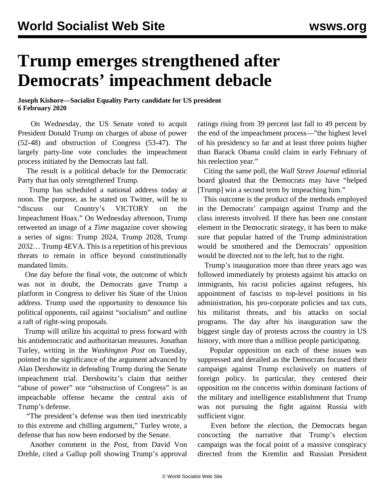## **Trump emerges strengthened after Democrats' impeachment debacle**

## **Joseph Kishore—Socialist Equality Party candidate for US president 6 February 2020**

 On Wednesday, the US Senate voted to acquit President Donald Trump on charges of abuse of power (52-48) and obstruction of Congress (53-47). The largely party-line vote concludes the impeachment process initiated by the Democrats last fall.

 The result is a political debacle for the Democratic Party that has only strengthened Trump.

 Trump has scheduled a national address today at noon. The purpose, as he stated on Twitter, will be to "discuss our Country's VICTORY on the Impeachment Hoax." On Wednesday afternoon, Trump retweeted an image of a *Time* magazine cover showing a series of signs: Trump 2024, Trump 2028, Trump 2032… Trump 4EVA. This is a repetition of his previous threats to remain in office beyond constitutionally mandated limits.

 One day before the final vote, the outcome of which was not in doubt, the Democrats gave Trump a platform in Congress to deliver his State of the Union address. Trump used the opportunity to denounce his political opponents, rail against "socialism" and outline a raft of right-wing proposals.

 Trump will utilize his acquittal to press forward with his antidemocratic and authoritarian measures. Jonathan Turley, writing in the *Washington Post* on Tuesday, pointed to the significance of the argument advanced by Alan Dershowitz in defending Trump during the Senate impeachment trial. Dershowitz's claim that neither "abuse of power" nor "obstruction of Congress" is an impeachable offense became the central axis of Trump's defense.

 "The president's defense was then tied inextricably to this extreme and chilling argument," Turley wrote, a defense that has now been endorsed by the Senate.

 Another comment in the *Post*, from David Von Drehle, cited a Gallup poll showing Trump's approval ratings rising from 39 percent last fall to 49 percent by the end of the impeachment process—"the highest level of his presidency so far and at least three points higher than Barack Obama could claim in early February of his reelection year."

 Citing the same poll, the *Wall Street Journal* editorial board gloated that the Democrats may have "helped [Trump] win a second term by impeaching him."

 This outcome is the product of the methods employed in the Democrats' campaign against Trump and the class interests involved. If there has been one constant element in the Democratic strategy, it has been to make sure that popular hatred of the Trump administration would be smothered and the Democrats' opposition would be directed not to the left, but to the right.

 Trump's inauguration more than three years ago was followed immediately by protests against his attacks on immigrants, his racist policies against refugees, his appointment of fascists to top-level positions in his administration, his pro-corporate policies and tax cuts, his militarist threats, and his attacks on social programs. The day after his inauguration saw the biggest single day of protests across the country in US history, with more than a million people participating.

 Popular opposition on each of these issues was suppressed and derailed as the Democrats focused their campaign against Trump exclusively on matters of foreign policy. In particular, they centered their opposition on the concerns within dominant factions of the military and intelligence establishment that Trump was not pursuing the fight against Russia with sufficient vigor.

 Even before the election, the Democrats began concocting the narrative that Trump's election campaign was the focal point of a massive conspiracy directed from the Kremlin and Russian President